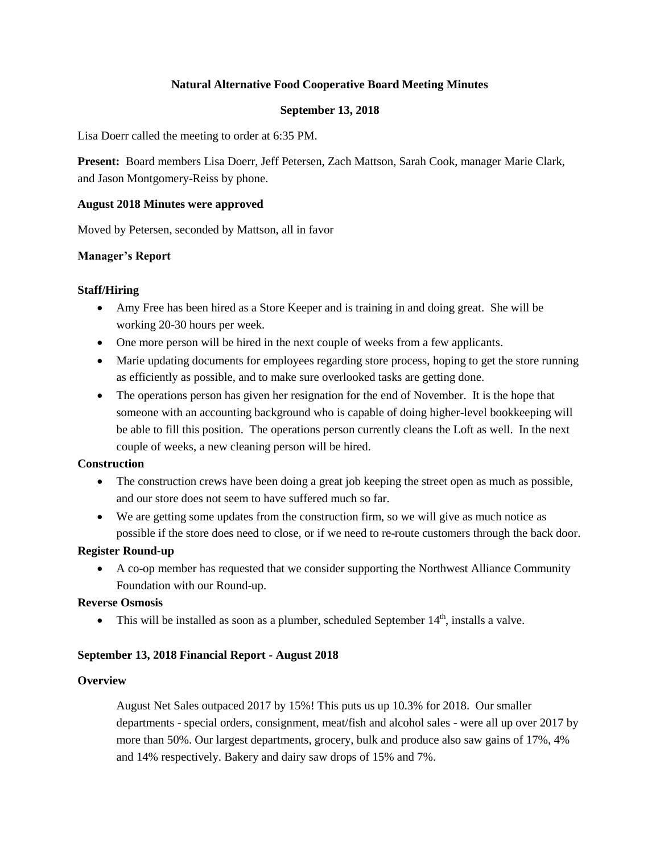# **Natural Alternative Food Cooperative Board Meeting Minutes**

### **September 13, 2018**

Lisa Doerr called the meeting to order at 6:35 PM.

**Present:** Board members Lisa Doerr, Jeff Petersen, Zach Mattson, Sarah Cook, manager Marie Clark, and Jason Montgomery-Reiss by phone.

#### **August 2018 Minutes were approved**

Moved by Petersen, seconded by Mattson, all in favor

#### **Manager's Report**

#### **Staff/Hiring**

- Amy Free has been hired as a Store Keeper and is training in and doing great. She will be working 20-30 hours per week.
- One more person will be hired in the next couple of weeks from a few applicants.
- Marie updating documents for employees regarding store process, hoping to get the store running as efficiently as possible, and to make sure overlooked tasks are getting done.
- The operations person has given her resignation for the end of November. It is the hope that someone with an accounting background who is capable of doing higher-level bookkeeping will be able to fill this position. The operations person currently cleans the Loft as well. In the next couple of weeks, a new cleaning person will be hired.

### **Construction**

- The construction crews have been doing a great job keeping the street open as much as possible, and our store does not seem to have suffered much so far.
- We are getting some updates from the construction firm, so we will give as much notice as possible if the store does need to close, or if we need to re-route customers through the back door.

### **Register Round-up**

 A co-op member has requested that we consider supporting the Northwest Alliance Community Foundation with our Round-up.

### **Reverse Osmosis**

 $\bullet$  This will be installed as soon as a plumber, scheduled September 14<sup>th</sup>, installs a valve.

### **September 13, 2018 Financial Report - August 2018**

#### **Overview**

August Net Sales outpaced 2017 by 15%! This puts us up 10.3% for 2018. Our smaller departments - special orders, consignment, meat/fish and alcohol sales - were all up over 2017 by more than 50%. Our largest departments, grocery, bulk and produce also saw gains of 17%, 4% and 14% respectively. Bakery and dairy saw drops of 15% and 7%.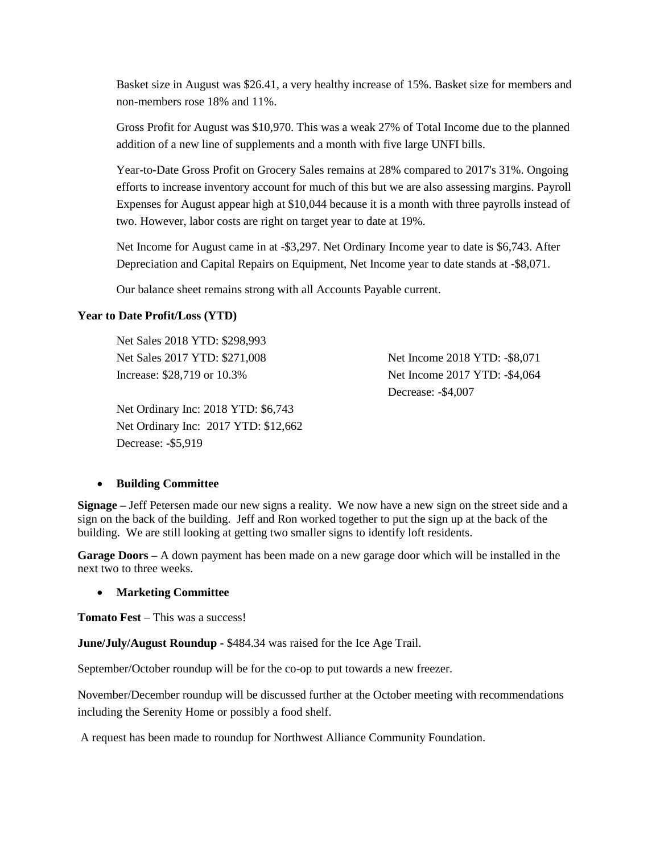Basket size in August was \$26.41, a very healthy increase of 15%. Basket size for members and non-members rose 18% and 11%.

Gross Profit for August was \$10,970. This was a weak 27% of Total Income due to the planned addition of a new line of supplements and a month with five large UNFI bills.

Year-to-Date Gross Profit on Grocery Sales remains at 28% compared to 2017's 31%. Ongoing efforts to increase inventory account for much of this but we are also assessing margins. Payroll Expenses for August appear high at \$10,044 because it is a month with three payrolls instead of two. However, labor costs are right on target year to date at 19%.

Net Income for August came in at -\$3,297. Net Ordinary Income year to date is \$6,743. After Depreciation and Capital Repairs on Equipment, Net Income year to date stands at -\$8,071.

Our balance sheet remains strong with all Accounts Payable current.

# **Year to Date Profit/Loss (YTD)**

Net Sales 2018 YTD: \$298,993 Net Sales 2017 YTD: \$271,008 Increase: \$28,719 or 10.3%

Net Ordinary Inc: 2018 YTD: \$6,743 Net Ordinary Inc: 2017 YTD: \$12,662 Decrease: -\$5,919

Net Income 2018 YTD: -\$8,071 Net Income 2017 YTD: -\$4,064 Decrease: -\$4,007

# **Building Committee**

**Signage –** Jeff Petersen made our new signs a reality. We now have a new sign on the street side and a sign on the back of the building. Jeff and Ron worked together to put the sign up at the back of the building. We are still looking at getting two smaller signs to identify loft residents.

**Garage Doors –** A down payment has been made on a new garage door which will be installed in the next two to three weeks.

### **Marketing Committee**

**Tomato Fest** – This was a success!

**June/July/August Roundup -** \$484.34 was raised for the Ice Age Trail.

September/October roundup will be for the co-op to put towards a new freezer.

November/December roundup will be discussed further at the October meeting with recommendations including the Serenity Home or possibly a food shelf.

A request has been made to roundup for Northwest Alliance Community Foundation.